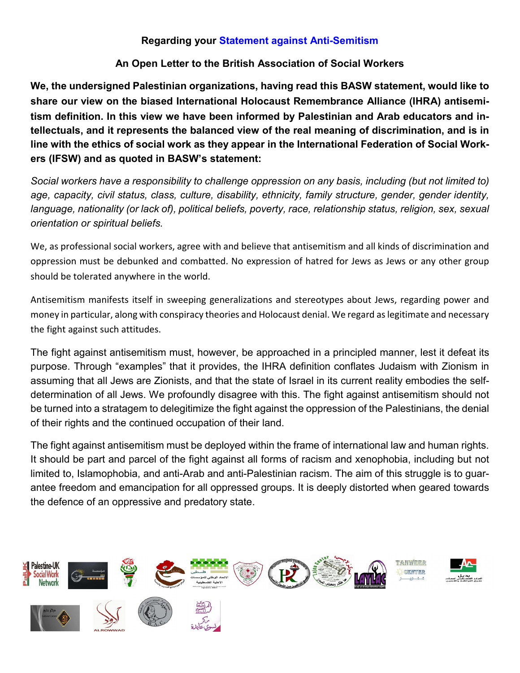## Regarding your Statement against Anti-Semitism

## An Open Letter to the British Association of Social Workers

We, the undersigned Palestinian organizations, having read this BASW statement, would like to share our view on the biased International Holocaust Remembrance Alliance (IHRA) antisemitism definition. In this view we have been informed by Palestinian and Arab educators and intellectuals, and it represents the balanced view of the real meaning of discrimination, and is in line with the ethics of social work as they appear in the International Federation of Social Workers (IFSW) and as quoted in BASW's statement:

*Social workers have a responsibility to challenge oppression on any basis, including (but not limited to) age, capacity, civil status, class, culture, disability, ethnicity, family structure, gender, gender identity, language, nationality (or lack of), political beliefs, poverty, race, relationship status, religion, sex, sexual orientation or spiritual beliefs.*

We, as professional social workers, agree with and believe that antisemitism and all kinds of discrimination and oppression must be debunked and combatted. No expression of hatred for Jews as Jews or any other group should be tolerated anywhere in the world.

Antisemitism manifests itself in sweeping generalizations and stereotypes about Jews, regarding power and money in particular, along with conspiracy theories and Holocaust denial. We regard aslegitimate and necessary the fight against such attitudes.

The fight against antisemitism must, however, be approached in a principled manner, lest it defeat its purpose. Through "examples" that it provides, the IHRA definition conflates Judaism with Zionism in assuming that all Jews are Zionists, and that the state of Israel in its current reality embodies the selfdetermination of all Jews. We profoundly disagree with this. The fight against antisemitism should not be turned into a stratagem to delegitimize the fight against the oppression of the Palestinians, the denial of their rights and the continued occupation of their land.

The fight against antisemitism must be deployed within the frame of international law and human rights. It should be part and parcel of the fight against all forms of racism and xenophobia, including but not limited to, Islamophobia, and anti-Arab and anti-Palestinian racism. The aim of this struggle is to guarantee freedom and emancipation for all oppressed groups. It is deeply distorted when geared towards the defence of an oppressive and predatory state.

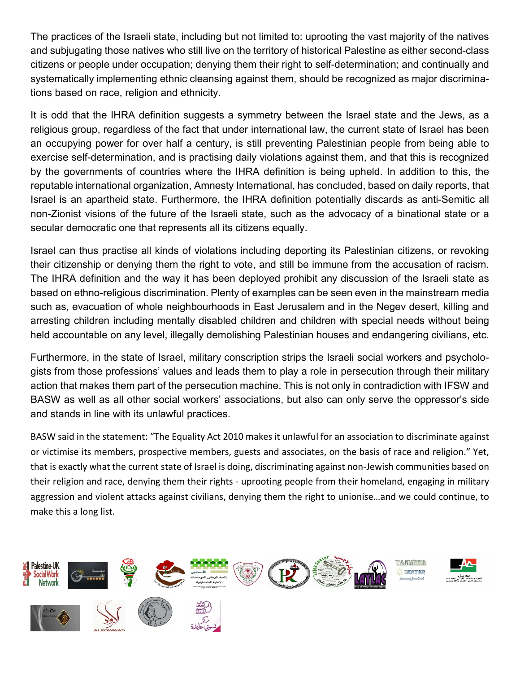The practices of the Israeli state, including but not limited to: uprooting the vast majority of the natives and subjugating those natives who still live on the territory of historical Palestine as either second-class citizens or people under occupation; denying them their right to self-determination; and continually and systematically implementing ethnic cleansing against them, should be recognized as major discriminations based on race, religion and ethnicity.

It is odd that the IHRA definition suggests a symmetry between the Israel state and the Jews, as a religious group, regardless of the fact that under international law, the current state of Israel has been an occupying power for over half a century, is still preventing Palestinian people from being able to exercise self-determination, and is practising daily violations against them, and that this is recognized by the governments of countries where the IHRA definition is being upheld. In addition to this, the reputable international organization, Amnesty International, has concluded, based on daily reports, that Israel is an apartheid state. Furthermore, the IHRA definition potentially discards as anti-Semitic all non-Zionist visions of the future of the Israeli state, such as the advocacy of a binational state or a secular democratic one that represents all its citizens equally.

Israel can thus practise all kinds of violations including deporting its Palestinian citizens, or revoking their citizenship or denying them the right to vote, and still be immune from the accusation of racism. The IHRA definition and the way it has been deployed prohibit any discussion of the Israeli state as based on ethno-religious discrimination. Plenty of examples can be seen even in the mainstream media such as, evacuation of whole neighbourhoods in East Jerusalem and in the Negev desert, killing and arresting children including mentally disabled children and children with special needs without being held accountable on any level, illegally demolishing Palestinian houses and endangering civilians, etc.

Furthermore, in the state of Israel, military conscription strips the Israeli social workers and psychologists from those professions' values and leads them to play a role in persecution through their military action that makes them part of the persecution machine. This is not only in contradiction with IFSW and BASW as well as all other social workers' associations, but also can only serve the oppressor's side and stands in line with its unlawful practices.

BASW said in the statement: "The Equality Act 2010 makes it unlawful for an association to discriminate against or victimise its members, prospective members, guests and associates, on the basis of race and religion." Yet, that is exactly what the current state of Israel is doing, discriminating against non-Jewish communities based on their religion and race, denying them their rights - uprooting people from their homeland, engaging in military aggression and violent attacks against civilians, denying them the right to unionise…and we could continue, to make this a long list.